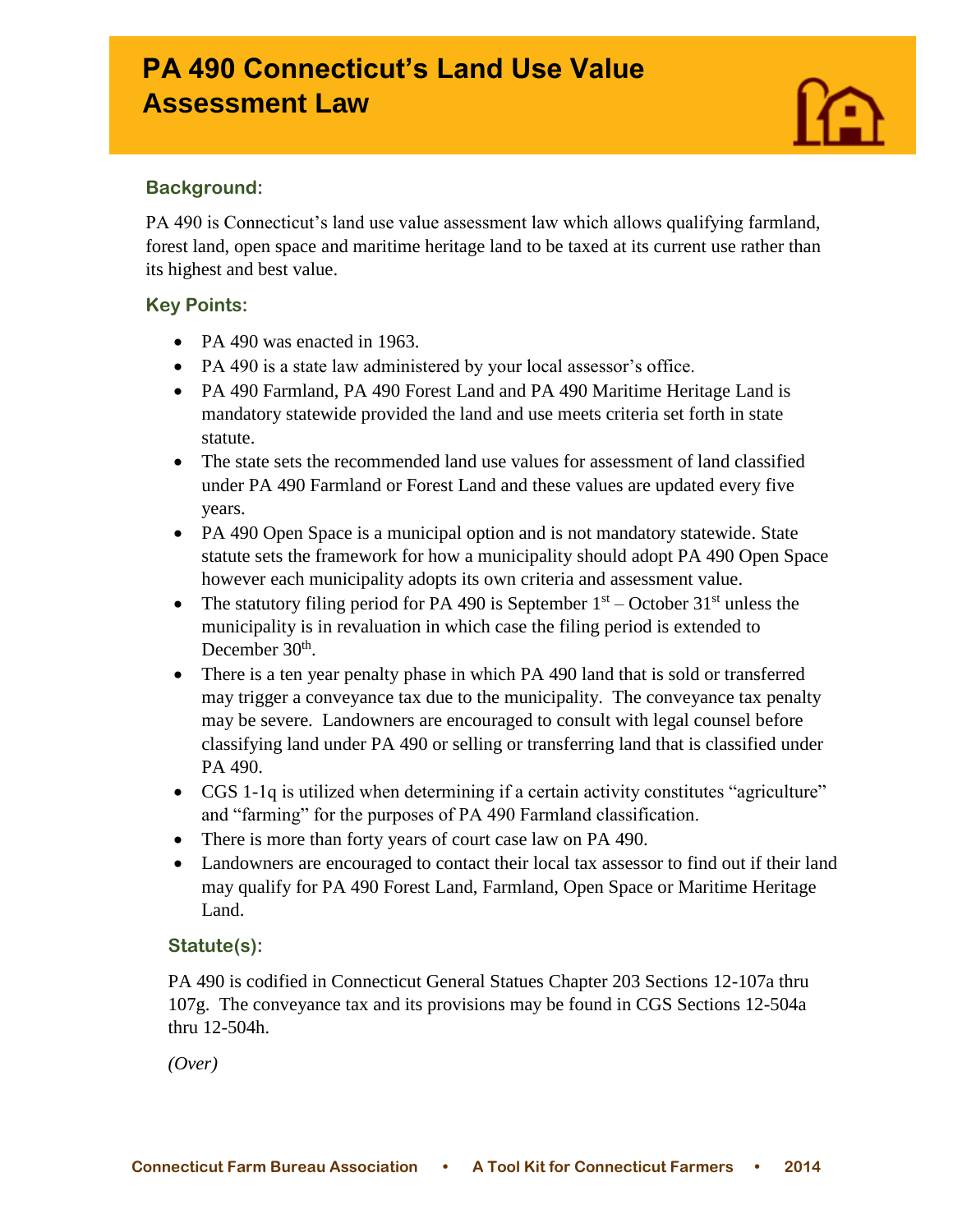# **PA 490 Connecticut's Land Use Value Assessment Law**



### **Background:**

Ī

PA 490 is Connecticut's land use value assessment law which allows qualifying farmland, forest land, open space and maritime heritage land to be taxed at its current use rather than its highest and best value.

### **Key Points:**

- PA 490 was enacted in 1963.
- PA 490 is a state law administered by your local assessor's office.
- PA 490 Farmland, PA 490 Forest Land and PA 490 Maritime Heritage Land is mandatory statewide provided the land and use meets criteria set forth in state statute.
- The state sets the recommended land use values for assessment of land classified under PA 490 Farmland or Forest Land and these values are updated every five years.
- PA 490 Open Space is a municipal option and is not mandatory statewide. State statute sets the framework for how a municipality should adopt PA 490 Open Space however each municipality adopts its own criteria and assessment value.
- The statutory filing period for PA 490 is September  $1<sup>st</sup>$  October 31<sup>st</sup> unless the municipality is in revaluation in which case the filing period is extended to December 30<sup>th</sup>.
- There is a ten year penalty phase in which PA 490 land that is sold or transferred may trigger a conveyance tax due to the municipality. The conveyance tax penalty may be severe. Landowners are encouraged to consult with legal counsel before classifying land under PA 490 or selling or transferring land that is classified under PA 490.
- CGS 1-1q is utilized when determining if a certain activity constitutes "agriculture" and "farming" for the purposes of PA 490 Farmland classification.
- There is more than forty years of court case law on PA 490.
- Landowners are encouraged to contact their local tax assessor to find out if their land may qualify for PA 490 Forest Land, Farmland, Open Space or Maritime Heritage Land.

## **Statute(s):**

PA 490 is codified in Connecticut General Statues Chapter 203 Sections 12-107a thru 107g. The conveyance tax and its provisions may be found in CGS Sections 12-504a thru 12-504h.

*(Over)*